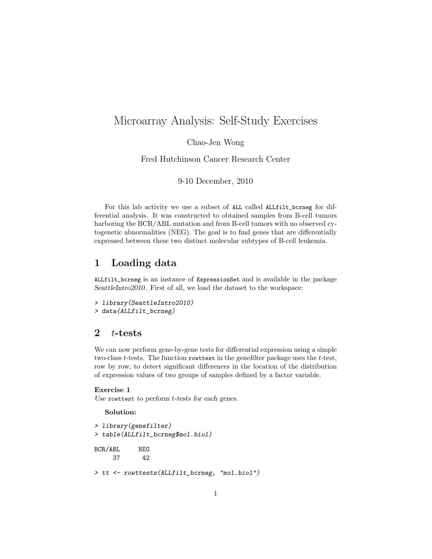# Microarray Analysis: Self-Study Exercises

Chao-Jen Wong

Fred Hutchinson Cancer Research Center

9-10 December, 2010

For this lab activity we use a subset of ALL called ALLfilt\_bcrneg for differential analysis. It was constructed to obtained samples from B-cell tumors harboring the BCR/ABL mutation and from B-cell tumors with no observed cytogenetic abnormalities (NEG). The goal is to find genes that are differentially expressed between these two distinct molecular subtypes of B-cell leukemia.

## 1 Loading data

ALLfilt\_bcrneg is an instance of ExpressionSet and is available in the package SeattleIntro2010. First of all, we load the dataset to the workspace:

```
> library(SeattleIntro2010)
> data(ALLfilt_bcrneg)
```
## 2  $t$ -tests

We can now perform gene-by-gene tests for differential expression using a simple two-class t-tests. The function rowttest in the genefilter package uses the t-test, row by row, to detect significant differences in the location of the distribution of expression values of two groups of samples defined by a factor variable.

### Exercise 1

Use rowttest to perform t-tests for each genes.

Solution:

```
> library(genefilter)
> table(ALLfilt_bcrneg$mol.biol)
BCR/ABL NEG
    37 42
> tt <- rowttests(ALLfilt_bcrneg, "mol.biol")
```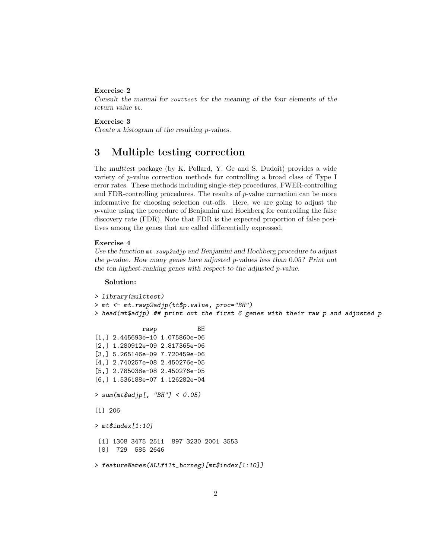#### Exercise 2

Consult the manual for rowttest for the meaning of the four elements of the return value tt.

### Exercise 3

Create a histogram of the resulting p-values.

## 3 Multiple testing correction

The multtest package (by K. Pollard, Y. Ge and S. Dudoit) provides a wide variety of p-value correction methods for controlling a broad class of Type I error rates. These methods including single-step procedures, FWER-controlling and FDR-controlling procedures. The results of  $p$ -value correction can be more informative for choosing selection cut-offs. Here, we are going to adjust the p-value using the procedure of Benjamini and Hochberg for controlling the false discovery rate (FDR). Note that FDR is the expected proportion of false positives among the genes that are called differentially expressed.

### Exercise 4

Use the function  $m$ t. rawp2adjp and Benjamini and Hochberg procedure to adjust the p-value. How many genes have adjusted p-values less than  $0.05$ ? Print out the ten highest-ranking genes with respect to the adjusted p-value.

#### Solution:

```
> library(multtest)
> mt <- mt.rawp2adjp(tt$p.value, proc="BH")
> head(mt$adjp) ## print out the first 6 genes with their raw p and adjusted p
            rawp BH
[1,] 2.445693e-10 1.075860e-06
[2,] 1.280912e-09 2.817365e-06
[3,] 5.265146e-09 7.720459e-06
[4,] 2.740257e-08 2.450276e-05
[5,] 2.785038e-08 2.450276e-05
[6,] 1.536188e-07 1.126282e-04
> sum(mt$adjp[, "BH"] < 0.05)
[1] 206
> mt$index[1:10]
 [1] 1308 3475 2511 897 3230 2001 3553
 [8] 729 585 2646
> featureNames(ALLfilt_bcrneg)[mt$index[1:10]]
```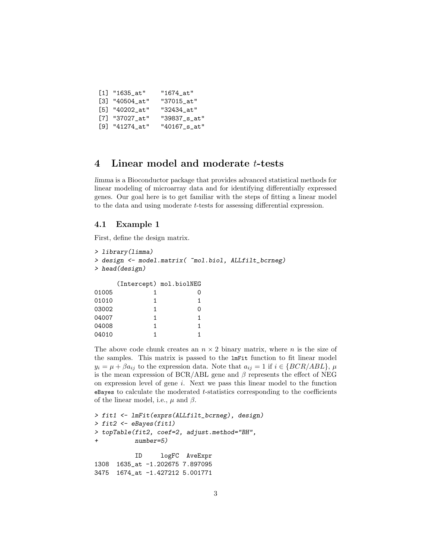| $[1]$ "1635_at"  | "1674 at"       |
|------------------|-----------------|
| $[3]$ "40504_at" | "37015_at"      |
| [5] "40202_at"   | "32434 at"      |
| [7] "37027_at"   | "39837_s_at"    |
| $[9]$ "41274_at" | $"40167$ _s_at" |

## 4 Linear model and moderate t-tests

limma is a Bioconductor package that provides advanced statistical methods for linear modeling of microarray data and for identifying differentially expressed genes. Our goal here is to get familiar with the steps of fitting a linear model to the data and using moderate t-tests for assessing differential expression.

### 4.1 Example 1

First, define the design matrix.

```
> library(limma)
> design <- model.matrix( ~mol.biol, ALLfilt_bcrneg)
> head(design)
   (Intercept) mol.biolNEG
01005 1 0
01010 1 1
03002 1 0
04007 1 1
04008 1 1
04010 1 1
```
The above code chunk creates an  $n \times 2$  binary matrix, where n is the size of the samples. This matrix is passed to the lmFit function to fit linear model  $y_i = \mu + \beta a_{ii}$  to the expression data. Note that  $a_{ii} = 1$  if  $i \in \{BCR/ABL\}, \mu$ is the mean expression of BCR/ABL gene and  $\beta$  represents the effect of NEG on expression level of gene  $i$ . Next we pass this linear model to the function  $e$ Bayes to calculate the moderated  $t$ -statistics corresponding to the coefficients of the linear model, i.e.,  $\mu$  and  $\beta$ .

```
> fit1 <- lmFit(exprs(ALLfilt_bcrneg), design)
> fit2 <- eBayes(fit1)
> topTable(fit2, coef=2, adjust.method="BH",
+ number=5)
          ID logFC AveExpr
1308 1635_at -1.202675 7.897095
3475 1674_at -1.427212 5.001771
```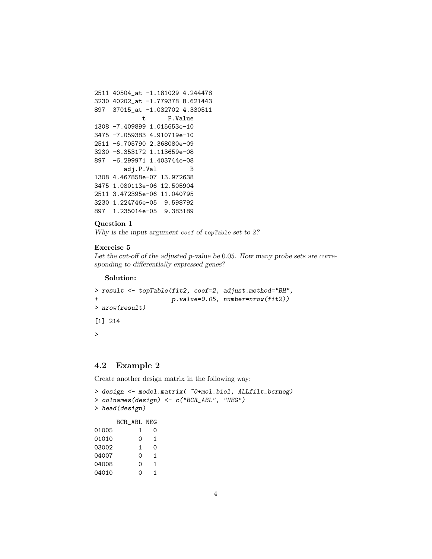```
2511 40504_at -1.181029 4.244478
3230 40202_at -1.779378 8.621443
897 37015_at -1.032702 4.330511
            t P.Value
1308 -7.409899 1.015653e-10
3475 -7.059383 4.910719e-10
2511 -6.705790 2.368080e-09
3230 -6.353172 1.113659e-08
897 -6.299971 1.403744e-08
       adj.P.Val B
1308 4.467858e-07 13.972638
3475 1.080113e-06 12.505904
2511 3.472395e-06 11.040795
3230 1.224746e-05 9.598792
897 1.235014e-05 9.383189
```
### Question 1

Why is the input argument coef of topTable set to 2?

### Exercise 5

Let the cut-off of the adjusted p-value be 0.05. How many probe sets are corresponding to differentially expressed genes?

### Solution:

```
> result <- topTable(fit2, coef=2, adjust.method="BH",
+ p.value=0.05, number=nrow(fit2))
> nrow(result)
[1] 214
>
```
### 4.2 Example 2

Create another design matrix in the following way:

```
> design <- model.matrix( ~0+mol.biol, ALLfilt_bcrneg)
> colnames(design) <- c("BCR_ABL", "NEG")
> head(design)
    BCR_ABL NEG
01005 1 0
01010 0 1
03002 1 0
04007 0 1
04008 0 1
04010 0 1
```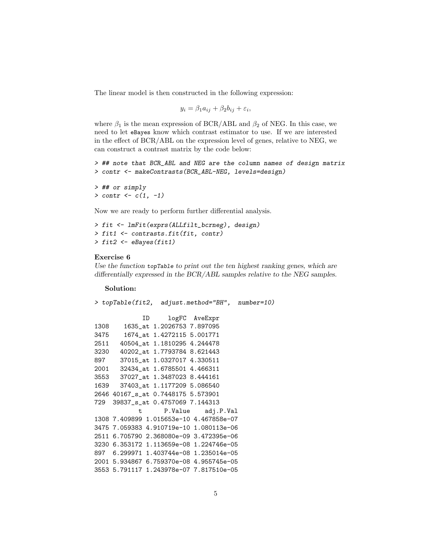The linear model is then constructed in the following expression:

$$
y_i = \beta_1 a_{ij} + \beta_2 b_{ij} + \varepsilon_i,
$$

where  $\beta_1$  is the mean expression of BCR/ABL and  $\beta_2$  of NEG. In this case, we need to let eBayes know which contrast estimator to use. If we are interested in the effect of BCR/ABL on the expression level of genes, relative to NEG, we can construct a contrast matrix by the code below:

> ## note that BCR\_ABL and NEG are the column names of design matrix > contr <- makeContrasts(BCR\_ABL-NEG, levels=design)

```
> ## or simply
> contr <- c(1, -1)
```
Now we are ready to perform further differential analysis.

```
> fit <- lmFit(exprs(ALLfilt_bcrneg), design)
> fit1 <- contrasts.fit(fit, contr)
> fit2 <- eBayes(fit1)
```
#### Exercise 6

Use the function topTable to print out the ten highest ranking genes, which are differentially expressed in the BCR/ABL samples relative to the NEG samples.

#### Solution:

```
> topTable(fit2, adjust.method="BH", number=10)
            ID logFC AveExpr
1308 1635_at 1.2026753 7.897095
3475 1674_at 1.4272115 5.001771
2511 40504_at 1.1810295 4.244478
3230 40202_at 1.7793784 8.621443
897 37015_at 1.0327017 4.330511
2001 32434_at 1.6785501 4.466311
3553 37027_at 1.3487023 8.444161
1639 37403_at 1.1177209 5.086540
2646 40167_s_at 0.7448175 5.573901
729 39837_s_at 0.4757069 7.144313
           t P.Value adj.P.Val
1308 7.409899 1.015653e-10 4.467858e-07
3475 7.059383 4.910719e-10 1.080113e-06
2511 6.705790 2.368080e-09 3.472395e-06
3230 6.353172 1.113659e-08 1.224746e-05
897 6.299971 1.403744e-08 1.235014e-05
2001 5.934867 6.759370e-08 4.955745e-05
3553 5.791117 1.243978e-07 7.817510e-05
```